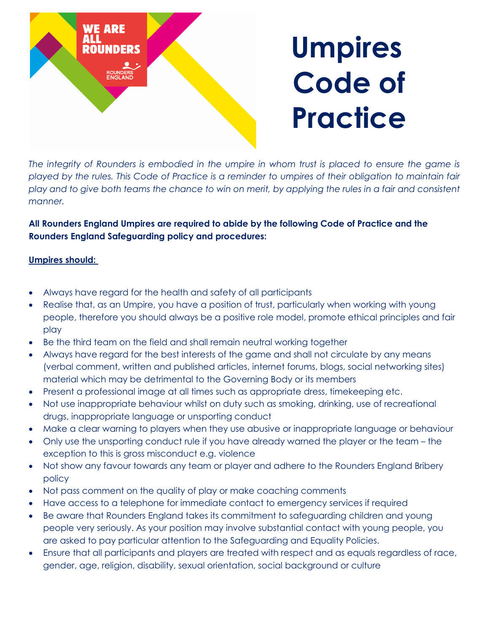

The integrity of Rounders is embodied in the umpire in whom trust is placed to ensure the game is played by the rules. This Code of Practice is a reminder to umpires of their obligation to maintain fair play and to give both teams the chance to win on merit, by applying the rules in a fair and consistent *manner.*

## **All Rounders England Umpires are required to abide by the following Code of Practice and the Rounders England Safeguarding policy and procedures:**

## **Umpires should:**

- Always have regard for the health and safety of all participants
- Realise that, as an Umpire, you have a position of trust, particularly when working with young people, therefore you should always be a positive role model, promote ethical principles and fair play
- Be the third team on the field and shall remain neutral working together
- Always have regard for the best interests of the game and shall not circulate by any means (verbal comment, written and published articles, internet forums, blogs, social networking sites) material which may be detrimental to the Governing Body or its members
- Present a professional image at all times such as appropriate dress, timekeeping etc.
- Not use inappropriate behaviour whilst on duty such as smoking, drinking, use of recreational drugs, inappropriate language or unsporting conduct
- Make a clear warning to players when they use abusive or inappropriate language or behaviour
- Only use the unsporting conduct rule if you have already warned the player or the team the exception to this is gross misconduct e.g. violence
- Not show any favour towards any team or player and adhere to the Rounders England Bribery policy
- Not pass comment on the quality of play or make coaching comments
- Have access to a telephone for immediate contact to emergency services if required
- Be aware that Rounders England takes its commitment to safeguarding children and young people very seriously. As your position may involve substantial contact with young people, you are asked to pay particular attention to the Safeguarding and Equality Policies.
- Ensure that all participants and players are treated with respect and as equals regardless of race, gender, age, religion, disability, sexual orientation, social background or culture